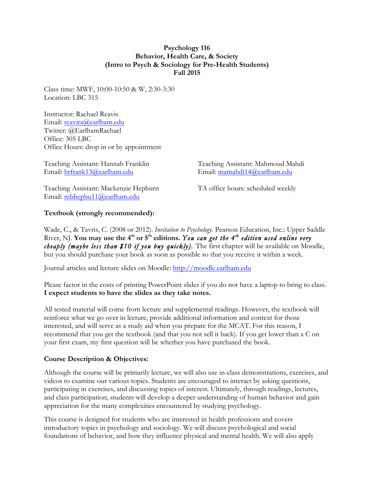### **Psychology 116 Behavior, Health Care, & Society (Intro to Psych & Sociology for Pre-Health Students) Fall 2015**

Class time: MWF, 10:00-10:50 & W, 2:30-3:30 Location: LBC 315

Instructor: Rachael Reavis Email: reavira@earlham.edu Twitter: @EarlhamRachael Office: 305 LBC Office Hours: drop in or by appointment

Teaching Assistant: Hannah Franklin Teaching Assistant: Mahmoud Mahdi Email: hrfrank13@earlham.edu Email: mamahdi14@earlham.edu

Teaching Assistant: Mackenzie Hepburn TA office hours: scheduled weekly Email: mbhepbu11@earlham.edu

# **Textbook (strongly recommended):**

Wade, C., & Tavris, C. (2008 or 2012). *Invitation to Psychology.* Pearson Education, Inc.: Upper Saddle River, NJ. You may use the 4<sup>th</sup> or 5<sup>th</sup> editions. You can get the 4<sup>th</sup> edition used online very *cheaply (maybe less than \$10 if you buy quickly).* The first chapter will be available on Moodle, but you should purchase your book as soon as possible so that you receive it within a week.

Journal articles and lecture slides on Moodle: http://moodle.earlham.edu

Please factor in the costs of printing PowerPoint slides if you do not have a laptop to bring to class. **I expect students to have the slides as they take notes.** 

All tested material will come from lecture and supplemental readings. However, the textbook will reinforce what we go over in lecture, provide additional information and context for those interested, and will serve as a study aid when you prepare for the MCAT. For this reason, I recommend that you get the textbook (and that you not sell it back). If you get lower than a C on your first exam, my first question will be whether you have purchased the book.

### **Course Description & Objectives:**

Although the course will be primarily lecture, we will also use in-class demonstrations, exercises, and videos to examine our various topics. Students are encouraged to interact by asking questions, participating in exercises, and discussing topics of interest. Ultimately, through readings, lectures, and class participation, students will develop a deeper understanding of human behavior and gain appreciation for the many complexities encountered by studying psychology.

This course is designed for students who are interested in health professions and covers introductory topics in psychology and sociology. We will discuss psychological and social foundations of behavior, and how they influence physical and mental health. We will also apply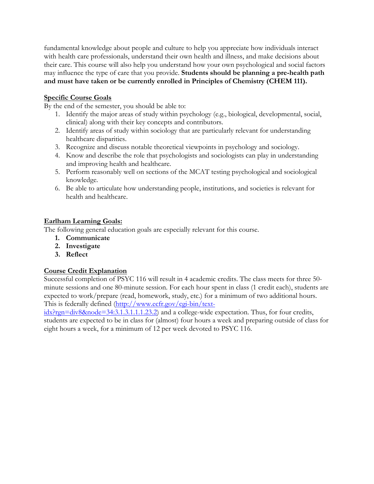fundamental knowledge about people and culture to help you appreciate how individuals interact with health care professionals, understand their own health and illness, and make decisions about their care. This course will also help you understand how your own psychological and social factors may influence the type of care that you provide. **Students should be planning a pre-health path and must have taken or be currently enrolled in Principles of Chemistry (CHEM 111).**

### **Specific Course Goals**

By the end of the semester, you should be able to:

- 1. Identify the major areas of study within psychology (e.g., biological, developmental, social, clinical) along with their key concepts and contributors.
- 2. Identify areas of study within sociology that are particularly relevant for understanding healthcare disparities.
- 3. Recognize and discuss notable theoretical viewpoints in psychology and sociology.
- 4. Know and describe the role that psychologists and sociologists can play in understanding and improving health and healthcare.
- 5. Perform reasonably well on sections of the MCAT testing psychological and sociological knowledge.
- 6. Be able to articulate how understanding people, institutions, and societies is relevant for health and healthcare.

## **Earlham Learning Goals:**

The following general education goals are especially relevant for this course.

- **1. Communicate**
- **2. Investigate**
- **3. Reflect**

# **Course Credit Explanation**

Successful completion of PSYC 116 will result in 4 academic credits. The class meets for three 50 minute sessions and one 80-minute session. For each hour spent in class (1 credit each), students are expected to work/prepare (read, homework, study, etc.) for a minimum of two additional hours. This is federally defined (http://www.ecfr.gov/cgi-bin/text-

idx?rgn=div8&node=34:3.1.3.1.1.1.23.2) and a college-wide expectation. Thus, for four credits, students are expected to be in class for (almost) four hours a week and preparing outside of class for eight hours a week, for a minimum of 12 per week devoted to PSYC 116.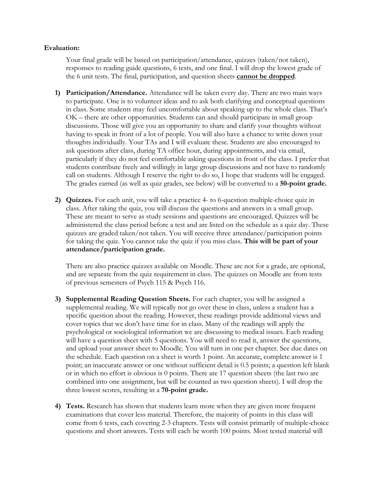#### **Evaluation:**

Your final grade will be based on participation/attendance, quizzes (taken/not taken), responses to reading guide questions, 6 tests, and one final. I will drop the lowest grade of the 6 unit tests. The final, participation, and question sheets **cannot be dropped**.

- **1) Participation/Attendance.** Attendance will be taken every day. There are two main ways to participate. One is to volunteer ideas and to ask both clarifying and conceptual questions in class. Some students may feel uncomfortable about speaking up to the whole class. That's OK – there are other opportunities. Students can and should participate in small group discussions. Those will give you an opportunity to share and clarify your thoughts without having to speak in front of a lot of people. You will also have a chance to write down your thoughts individually. Your TAs and I will evaluate these. Students are also encouraged to ask questions after class, during TA office hour, during appointments, and via email, particularly if they do not feel comfortable asking questions in front of the class. I prefer that students contribute freely and willingly in large group discussions and not have to randomly call on students. Although I reserve the right to do so, I hope that students will be engaged. The grades earned (as well as quiz grades, see below) will be converted to a **50-point grade.**
- **2) Quizzes.** For each unit, you will take a practice 4- to 6-question multiple-choice quiz in class. After taking the quiz, you will discuss the questions and answers in a small group. These are meant to serve as study sessions and questions are encouraged. Quizzes will be administered the class period before a test and are listed on the schedule as a quiz day. These quizzes are graded taken/not taken. You will receive three attendance/participation points for taking the quiz. You cannot take the quiz if you miss class. **This will be part of your attendance/participation grade.**

There are also practice quizzes available on Moodle. These are not for a grade, are optional, and are separate from the quiz requirement in class. The quizzes on Moodle are from tests of previous semesters of Psych 115 & Psych 116.

- **3) Supplemental Reading Question Sheets.** For each chapter, you will be assigned a supplemental reading. We will typically not go over these in class, unless a student has a specific question about the reading. However, these readings provide additional views and cover topics that we don't have time for in class. Many of the readings will apply the psychological or sociological information we are discussing to medical issues. Each reading will have a question sheet with 5 questions. You will need to read it, answer the questions, and upload your answer sheet to Moodle. You will turn in one per chapter. See due dates on the schedule. Each question on a sheet is worth 1 point. An accurate, complete answer is 1 point; an inaccurate answer or one without sufficient detail is 0.5 points; a question left blank or in which no effort is obvious is 0 points. There are 17 question sheets (the last two are combined into one assignment, but will be counted as two question sheets). I will drop the three lowest scores, resulting in a **70-point grade.**
- **4) Tests.** Research has shown that students learn more when they are given more frequent examinations that cover less material. Therefore, the majority of points in this class will come from 6 tests, each covering 2-3 chapters. Tests will consist primarily of multiple-choice questions and short answers. Tests will each be worth 100 points. Most tested material will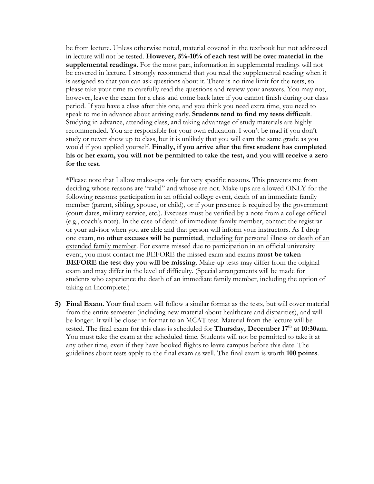be from lecture. Unless otherwise noted, material covered in the textbook but not addressed in lecture will not be tested. **However, 5%-10% of each test will be over material in the supplemental readings.** For the most part, information in supplemental readings will not be covered in lecture. I strongly recommend that you read the supplemental reading when it is assigned so that you can ask questions about it. There is no time limit for the tests, so please take your time to carefully read the questions and review your answers. You may not, however, leave the exam for a class and come back later if you cannot finish during our class period. If you have a class after this one, and you think you need extra time, you need to speak to me in advance about arriving early. **Students tend to find my tests difficult**. Studying in advance, attending class, and taking advantage of study materials are highly recommended. You are responsible for your own education. I won't be mad if you don't study or never show up to class, but it is unlikely that you will earn the same grade as you would if you applied yourself. **Finally, if you arrive after the first student has completed his or her exam, you will not be permitted to take the test, and you will receive a zero for the test**.

\*Please note that I allow make-ups only for very specific reasons. This prevents me from deciding whose reasons are "valid" and whose are not. Make-ups are allowed ONLY for the following reasons: participation in an official college event, death of an immediate family member (parent, sibling, spouse, or child), or if your presence is required by the government (court dates, military service, etc.). Excuses must be verified by a note from a college official (e.g., coach's note). In the case of death of immediate family member, contact the registrar or your advisor when you are able and that person will inform your instructors. As I drop one exam, **no other excuses will be permitted**, including for personal illness or death of an extended family member. For exams missed due to participation in an official university event, you must contact me BEFORE the missed exam and exams **must be taken BEFORE the test day you will be missing**. Make-up tests may differ from the original exam and may differ in the level of difficulty. (Special arrangements will be made for students who experience the death of an immediate family member, including the option of taking an Incomplete.)

**5) Final Exam.** Your final exam will follow a similar format as the tests, but will cover material from the entire semester (including new material about healthcare and disparities), and will be longer. It will be closer in format to an MCAT test. Material from the lecture will be tested. The final exam for this class is scheduled for **Thursday, December 17th at 10:30am.** You must take the exam at the scheduled time. Students will not be permitted to take it at any other time, even if they have booked flights to leave campus before this date. The guidelines about tests apply to the final exam as well. The final exam is worth **100 points**.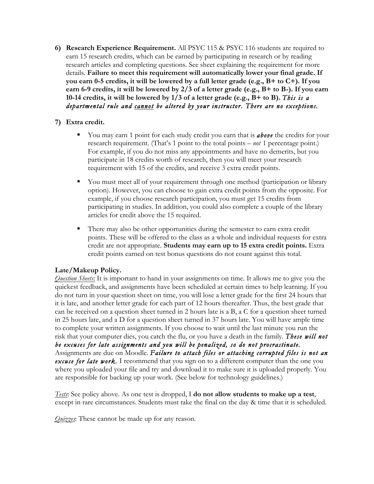**6) Research Experience Requirement.** All PSYC 115 & PSYC 116 students are required to earn 15 research credits, which can be earned by participating in research or by reading research articles and completing questions. See sheet explaining the requirement for more details. **Failure to meet this requirement will automatically lower your final grade. If you earn 0-5 credits, it will be lowered by a full letter grade (e.g., B+ to C+). If you earn 6-9 credits, it will be lowered by 2/3 of a letter grade (e.g., B+ to B-). If you earn 10-14 credits, it will be lowered by 1/3 of a letter grade (e.g., B+ to B).** *This is a departmental rule and cannot be altered by your instructor. There are no exceptions.*

### **7) Extra credit.**

- § You may earn 1 point for each study credit you earn that is *above* the credits for your research requirement. (That's 1 point to the total points – *not* 1 percentage point.) For example, if you do not miss any appointments and have no demerits, but you participate in 18 credits worth of research, then you will meet your research requirement with 15 of the credits, and receive 3 extra credit points.
- You must meet all of your requirement through one method (participation or library option). However, you can choose to gain extra credit points from the opposite. For example, if you choose research participation, you must get 15 credits from participating in studies. In addition, you could also complete a couple of the library articles for credit above the 15 required.
- § There may also be other opportunities during the semester to earn extra credit points. These will be offered to the class as a whole and individual requests for extra credit are not appropriate. **Students may earn up to 15 extra credit points.** Extra credit points earned on test bonus questions do not count against this total.

# **Late/Makeup Policy.**

*Question Sheets:* It is important to hand in your assignments on time. It allows me to give you the quickest feedback, and assignments have been scheduled at certain times to help learning. If you do not turn in your question sheet on time, you will lose a letter grade for the first 24 hours that it is late, and another letter grade for each part of 12 hours thereafter. Thus, the best grade that can be received on a question sheet turned in 2 hours late is a B, a C for a question sheet turned in 25 hours late, and a D for a question sheet turned in 37 hours late. You will have ample time to complete your written assignments. If you choose to wait until the last minute you run the risk that your computer dies, you catch the flu, or you have a death in the family. *These will not be excuses for late assignments and you will be penalized, so do not procrastinate.* Assignments are due on Moodle. *Failure to attach files or attaching corrupted files is not an excuse for late work*. I recommend that you sign on to a different computer than the one you where you uploaded your file and try and download it to make sure it is uploaded properly. You are responsible for backing up your work. (See below for technology guidelines.)

*Tests*: See policy above. As one test is dropped, I **do not allow students to make up a test**, except in rare circumstances. Students must take the final on the day & time that it is scheduled.

*Quizzes*: These cannot be made up for any reason.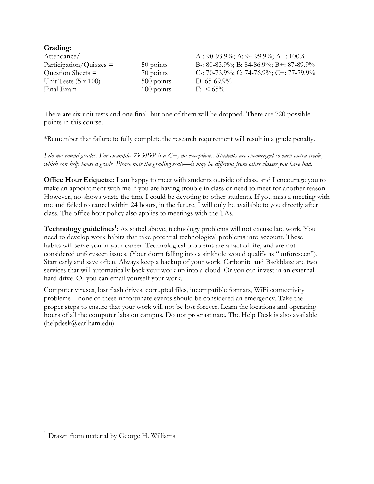| Grading:                      |              |                                         |
|-------------------------------|--------------|-----------------------------------------|
| Attendance/                   |              | A -: 90-93.9%; A: 94-99.9%; A +: 100%   |
| $Participation/Quizzes =$     | 50 points    | B-: 80-83.9%; B: 84-86.9%; B+: 87-89.9% |
| Question Sheets $=$           | 70 points    | C-: 70-73.9%; C: 74-76.9%; C+: 77-79.9% |
| Unit Tests $(5 \times 100) =$ | 500 points   | D: $65-69.9\%$                          |
| Final Exam $=$                | $100$ points | $F: \ 65\%$                             |

There are six unit tests and one final, but one of them will be dropped. There are 720 possible points in this course.

\*Remember that failure to fully complete the research requirement will result in a grade penalty.

*I do not round grades. For example, 79.9999 is a C+, no exceptions. Students are encouraged to earn extra credit, which can help boost a grade. Please note the grading scale—it may be different from other classes you have had.* 

**Office Hour Etiquette:** I am happy to meet with students outside of class, and I encourage you to make an appointment with me if you are having trouble in class or need to meet for another reason. However, no-shows waste the time I could be devoting to other students. If you miss a meeting with me and failed to cancel within 24 hours, in the future, I will only be available to you directly after class. The office hour policy also applies to meetings with the TAs.

Technology guidelines<sup>1</sup>: As stated above, technology problems will not excuse late work. You need to develop work habits that take potential technological problems into account. These habits will serve you in your career. Technological problems are a fact of life, and are not considered unforeseen issues. (Your dorm falling into a sinkhole would qualify as "unforeseen"). Start early and save often. Always keep a backup of your work. Carbonite and Backblaze are two services that will automatically back your work up into a cloud. Or you can invest in an external hard drive. Or you can email yourself your work.

Computer viruses, lost flash drives, corrupted files, incompatible formats, WiFi connectivity problems – none of these unfortunate events should be considered an emergency. Take the proper steps to ensure that your work will not be lost forever. Learn the locations and operating hours of all the computer labs on campus. Do not procrastinate. The Help Desk is also available (helpdesk@earlham.edu).

 $<sup>1</sup>$  Drawn from material by George H. Williams</sup>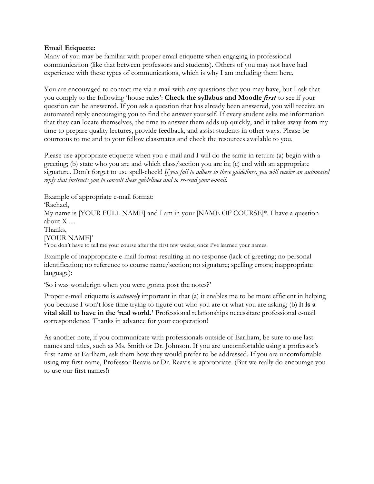#### **Email Etiquette:**

Many of you may be familiar with proper email etiquette when engaging in professional communication (like that between professors and students). Others of you may not have had experience with these types of communications, which is why I am including them here.

You are encouraged to contact me via e-mail with any questions that you may have, but I ask that you comply to the following 'house rules': **Check the syllabus and Moodle** *first* to see if your question can be answered. If you ask a question that has already been answered, you will receive an automated reply encouraging you to find the answer yourself. If every student asks me information that they can locate themselves, the time to answer them adds up quickly, and it takes away from my time to prepare quality lectures, provide feedback, and assist students in other ways. Please be courteous to me and to your fellow classmates and check the resources available to you.

Please use appropriate etiquette when you e-mail and I will do the same in return: (a) begin with a greeting; (b) state who you are and which class/section you are in; (c) end with an appropriate signature. Don't forget to use spell-check! *If you fail to adhere to these guidelines, you will receive an automated reply that instructs you to consult these guidelines and to re-send your e-mail.*

Example of appropriate e-mail format: 'Rachael, My name is [YOUR FULL NAME] and I am in your [NAME OF COURSE]\*. I have a question about X .... Thanks, [YOUR NAME]' \*You don't have to tell me your course after the first few weeks, once I've learned your names.

Example of inappropriate e-mail format resulting in no response (lack of greeting; no personal identification; no reference to course name/section; no signature; spelling errors; inappropriate language):

'So i was wonderign when you were gonna post the notes?'

Proper e-mail etiquette is *extremely* important in that (a) it enables me to be more efficient in helping you because I won't lose time trying to figure out who you are or what you are asking; (b) **it is a vital skill to have in the 'real world.'** Professional relationships necessitate professional e-mail correspondence. Thanks in advance for your cooperation!

As another note, if you communicate with professionals outside of Earlham, be sure to use last names and titles, such as Ms. Smith or Dr. Johnson. If you are uncomfortable using a professor's first name at Earlham, ask them how they would prefer to be addressed. If you are uncomfortable using my first name, Professor Reavis or Dr. Reavis is appropriate. (But we really do encourage you to use our first names!)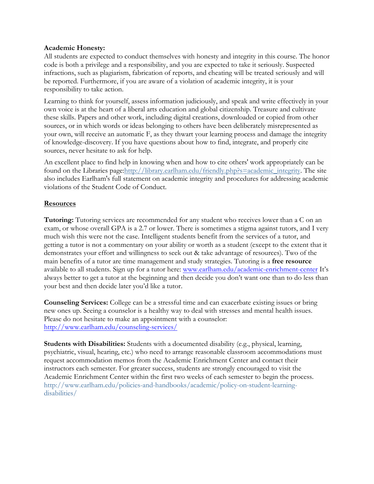### **Academic Honesty:**

All students are expected to conduct themselves with honesty and integrity in this course. The honor code is both a privilege and a responsibility, and you are expected to take it seriously. Suspected infractions, such as plagiarism, fabrication of reports, and cheating will be treated seriously and will be reported. Furthermore, if you are aware of a violation of academic integrity, it is your responsibility to take action.

Learning to think for yourself, assess information judiciously, and speak and write effectively in your own voice is at the heart of a liberal arts education and global citizenship. Treasure and cultivate these skills. Papers and other work, including digital creations, downloaded or copied from other sources, or in which words or ideas belonging to others have been deliberately misrepresented as your own, will receive an automatic F, as they thwart your learning process and damage the integrity of knowledge-discovery. If you have questions about how to find, integrate, and properly cite sources, never hesitate to ask for help.

An excellent place to find help in knowing when and how to cite others' work appropriately can be found on the Libraries page: http://library.earlham.edu/friendly.php?s=academic\_integrity. The site also includes Earlham's full statement on academic integrity and procedures for addressing academic violations of the Student Code of Conduct.

### **Resources**

**Tutoring:** Tutoring services are recommended for any student who receives lower than a C on an exam, or whose overall GPA is a 2.7 or lower. There is sometimes a stigma against tutors, and I very much wish this were not the case. Intelligent students benefit from the services of a tutor, and getting a tutor is not a commentary on your ability or worth as a student (except to the extent that it demonstrates your effort and willingness to seek out & take advantage of resources). Two of the main benefits of a tutor are time management and study strategies. Tutoring is a **free resource** available to all students. Sign up for a tutor here: www.earlham.edu/academic-enrichment-center It's always better to get a tutor at the beginning and then decide you don't want one than to do less than your best and then decide later you'd like a tutor.

**Counseling Services:** College can be a stressful time and can exacerbate existing issues or bring new ones up. Seeing a counselor is a healthy way to deal with stresses and mental health issues. Please do not hesitate to make an appointment with a counselor: http://www.earlham.edu/counseling-services/

**Students with Disabilities:** Students with a documented disability (e.g., physical, learning, psychiatric, visual, hearing, etc.) who need to arrange reasonable classroom accommodations must request accommodation memos from the Academic Enrichment Center and contact their instructors each semester. For greater success, students are strongly encouraged to visit the Academic Enrichment Center within the first two weeks of each semester to begin the process. http://www.earlham.edu/policies-and-handbooks/academic/policy-on-student-learningdisabilities/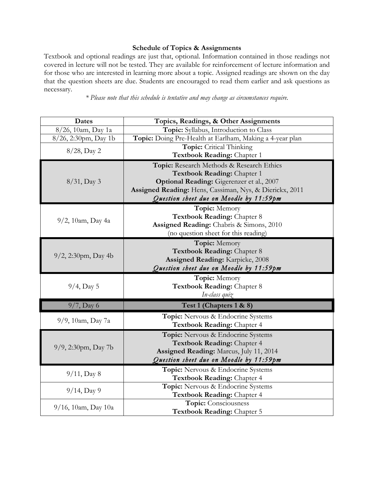### **Schedule of Topics & Assignments**

Textbook and optional readings are just that, optional. Information contained in those readings not covered in lecture will not be tested. They are available for reinforcement of lecture information and for those who are interested in learning more about a topic. Assigned readings are shown on the day that the question sheets are due. Students are encouraged to read them earlier and ask questions as necessary.

*\* Please note that this schedule is tentative and may change as circumstances require.*

| Dates                  | Topics, Readings, & Other Assignments                    |  |
|------------------------|----------------------------------------------------------|--|
| 8/26, 10am, Day 1a     | Topic: Syllabus, Introduction to Class                   |  |
| 8/26, 2:30pm, Day 1b   | Topic: Doing Pre-Health at Earlham, Making a 4-year plan |  |
| 8/28, Day 2            | Topic: Critical Thinking                                 |  |
|                        | Textbook Reading: Chapter 1                              |  |
|                        | Topic: Research Methods & Research Ethics                |  |
|                        | Textbook Reading: Chapter 1                              |  |
| $8/31$ , Day 3         | Optional Reading: Gigerenzer et al., 2007                |  |
|                        | Assigned Reading: Hens, Cassiman, Nys, & Dierickx, 2011  |  |
|                        | Question sheet due on Moodle by 11:59pm                  |  |
|                        | Topic: Memory                                            |  |
|                        | Textbook Reading: Chapter 8                              |  |
| $9/2$ , 10am, Day 4a   | Assigned Reading: Chabris & Simons, 2010                 |  |
|                        | (no question sheet for this reading)                     |  |
| $9/2$ , 2:30pm, Day 4b | Topic: Memory                                            |  |
|                        | Textbook Reading: Chapter 8                              |  |
|                        | <b>Assigned Reading: Karpicke, 2008</b>                  |  |
|                        | Question sheet due on Moodle by 11:59pm                  |  |
|                        | Topic: Memory                                            |  |
| $9/4$ , Day 5          | Textbook Reading: Chapter 8                              |  |
|                        | In-class quiz                                            |  |
| $9/7$ , Day 6          | Test 1 (Chapters 1 & 8)                                  |  |
|                        | Topic: Nervous & Endocrine Systems                       |  |
| 9/9, 10am, Day 7a      | Textbook Reading: Chapter 4                              |  |
| 9/9, 2:30pm, Day 7b    | Topic: Nervous & Endocrine Systems                       |  |
|                        | Textbook Reading: Chapter 4                              |  |
|                        | Assigned Reading: Marcus, July 11, 2014                  |  |
|                        | Question sheet due on Moodle by 11:59pm                  |  |
|                        | Topic: Nervous & Endocrine Systems                       |  |
| $9/11$ , Day 8         | Textbook Reading: Chapter 4                              |  |
| $9/14$ , Day 9         | Topic: Nervous & Endocrine Systems                       |  |
|                        | Textbook Reading: Chapter 4                              |  |
| $9/16$ , 10am, Day 10a | Topic: Consciousness                                     |  |
|                        | Textbook Reading: Chapter 5                              |  |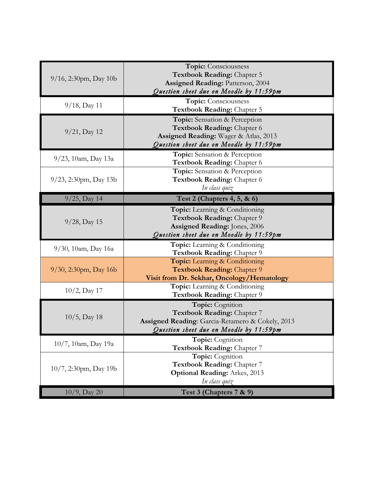| $9/16$ , 2:30pm, Day 10b | Topic: Consciousness<br>Textbook Reading: Chapter 5<br><b>Assigned Reading: Patterson, 2004</b><br>Question sheet due on Moodle by 11:59pm       |
|--------------------------|--------------------------------------------------------------------------------------------------------------------------------------------------|
| $9/18$ , Day 11          | Topic: Consciousness<br>Textbook Reading: Chapter 5                                                                                              |
| $9/21$ , Day 12          | Topic: Sensation & Perception<br>Textbook Reading: Chapter 6<br>Assigned Reading: Wager & Atlas, 2013<br>Question sheet due on Moodle by 11:59pm |
| 9/23, 10am, Day 13a      | Topic: Sensation & Perception<br>Textbook Reading: Chapter 6                                                                                     |
| $9/23$ , 2:30pm, Day 13b | Topic: Sensation & Perception<br>Textbook Reading: Chapter 6<br>In class quiz                                                                    |
| $9/25$ , Day 14          | Test 2 (Chapters 4, 5, & 6)                                                                                                                      |
| $9/28$ , Day 15          | Topic: Learning & Conditioning<br>Textbook Reading: Chapter 9<br>Assigned Reading: Jones, 2006<br>Question sheet due on Moodle by 11:59pm        |
| $9/30$ , 10am, Day 16a   | Topic: Learning & Conditioning<br>Textbook Reading: Chapter 9                                                                                    |
| $9/30$ , 2:30pm, Day 16b | Topic: Learning & Conditioning<br>Textbook Reading: Chapter 9<br>Visit from Dr. Sekhar, Oncology/Hematology                                      |
| $10/2$ , Day 17          | Topic: Learning & Conditioning<br>Textbook Reading: Chapter 9                                                                                    |
| $10/5$ , Day 18          | Topic: Cognition<br>Textbook Reading: Chapter 7<br>Assigned Reading: Garcia-Retamero & Cokely, 2013<br>Question sheet due on Moodle by 11:59pm   |
| 10/7, 10am, Day 19a      | Topic: Cognition<br>Textbook Reading: Chapter 7                                                                                                  |
| 10/7, 2:30pm, Day 19b    | Topic: Cognition<br>Textbook Reading: Chapter 7<br><b>Optional Reading: Arkes, 2013</b><br>In class quiz                                         |
| $10/9$ , Day 20          | Test 3 (Chapters 7 & 9)                                                                                                                          |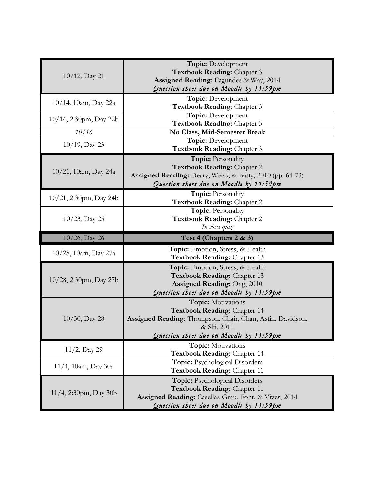|                           | Topic: Development                                             |
|---------------------------|----------------------------------------------------------------|
| $10/12$ , Day 21          | Textbook Reading: Chapter 3                                    |
|                           | Assigned Reading: Fagundes & Way, 2014                         |
|                           | Question sheet due on Moodle by 11:59pm                        |
| $10/14$ , 10am, Day 22a   | <b>Topic:</b> Development                                      |
|                           | Textbook Reading: Chapter 3                                    |
| 10/14, 2:30pm, Day 22b    | Topic: Development<br>Textbook Reading: Chapter 3              |
| 10/16                     | No Class, Mid-Semester Break                                   |
|                           | Topic: Development                                             |
| $10/19$ , Day 23          | Textbook Reading: Chapter 3                                    |
|                           | <b>Topic: Personality</b>                                      |
|                           | Textbook Reading: Chapter 2                                    |
| $10/21$ , 10am, Day 24a   | Assigned Reading: Deary, Weiss, & Batty, 2010 (pp. 64-73)      |
|                           | Question sheet due on Moodle by 11:59pm                        |
| $10/21$ , 2:30pm, Day 24b | <b>Topic: Personality</b>                                      |
|                           | Textbook Reading: Chapter 2                                    |
| $10/23$ , Day 25          | Topic: Personality                                             |
|                           | Textbook Reading: Chapter 2                                    |
|                           | In class quiz                                                  |
|                           |                                                                |
| $10/26$ , Day 26          | Test 4 (Chapters 2 & 3)                                        |
|                           | Topic: Emotion, Stress, & Health                               |
| 10/28, 10am, Day 27a      | Textbook Reading: Chapter 13                                   |
|                           | Topic: Emotion, Stress, & Health                               |
|                           | Textbook Reading: Chapter 13                                   |
| $10/28$ , 2:30pm, Day 27b | Assigned Reading: Ong, 2010                                    |
|                           | Question sheet due on Moodle by 11:59pm                        |
|                           | Topic: Motivations                                             |
|                           | Textbook Reading: Chapter 14                                   |
| $10/30$ , Day 28          | Assigned Reading: Thompson, Chair, Chan, Astin, Davidson,      |
|                           | & Ski, 2011                                                    |
|                           | Question sheet due on Moodle by 11:59pm                        |
| $11/2$ , Day 29           | Topic: Motivations                                             |
|                           | Textbook Reading: Chapter 14                                   |
| $11/4$ , 10am, Day 30a    | Topic: Psychological Disorders<br>Textbook Reading: Chapter 11 |
|                           | <b>Topic:</b> Psychological Disorders                          |
|                           | Textbook Reading: Chapter 11                                   |
| 11/4, 2:30pm, Day 30b     | Assigned Reading: Casellas-Grau, Font, & Vives, 2014           |